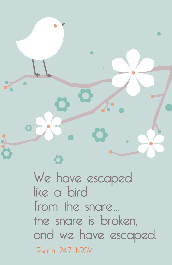

from the snare the snare is broken, and we have escaped. Psalm 124:7, NRSV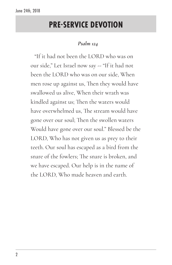# **PRE-SERVICE DEVOTION**

#### *Psalm 124*

"If it had not been the LORD who was on our side," Let Israel now say -- "If it had not been the LORD who was on our side, When men rose up against us, Then they would have swallowed us alive, When their wrath was kindled against us; Then the waters would have overwhelmed us, The stream would have gone over our soul; Then the swollen waters Would have gone over our soul." Blessed be the LORD, Who has not given us as prey to their teeth. Our soul has escaped as a bird from the snare of the fowlers; The snare is broken, and we have escaped. Our help is in the name of the LORD, Who made heaven and earth.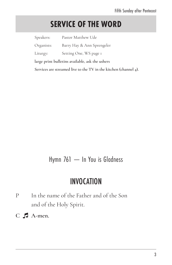# **SERVICE OF THE WORD**

| Speakers:                                                        | Pastor Matthew Ude         |
|------------------------------------------------------------------|----------------------------|
| Organists:                                                       | Barry Hay & Ann Sprengeler |
| Liturgy:                                                         | Setting One, WS page I     |
| large print bulletins available, ask the ushers                  |                            |
| Services are streamed live to the TV in the kitchen (channel 4). |                            |

## Hymn 761 — In You is Gladness

## INVOCATION

- P In the name of the Father and of the Son and of the Holy Spirit.
- **C A-men.**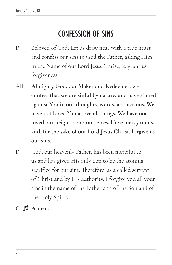# CONFESSION OF SINS

- P Beloved of God: Let us draw near with a true heart and confess our sins to God the Father, asking Him in the Name of our Lord Jesus Christ, to grant us forgiveness.
- All **Almighty God, our Maker and Redeemer: we confess that we are sinful by nature, and have sinned against You in our thoughts, words, and actions. We have not loved You above all things. We have not loved our neighbors as ourselves. Have mercy on us, and, for the sake of our Lord Jesus Christ, forgive us our sins.**
- P God, our heavenly Father, has been merciful to us and has given His only Son to be the atoning sacrifice for our sins. Therefore, as a called servant of Christ and by His authority, I forgive you all your sins in the name of the Father and of the Son and of the Holy Spirit.
- **C A-men.**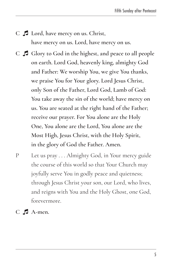- **C Lord, have mercy on us. Christ, have mercy on us. Lord, have mercy on us.**
- **C Glory to God in the highest, and peace to all people on earth. Lord God, heavenly king, almighty God and Father: We worship You, we give You thanks, we praise You for Your glory. Lord Jesus Christ, only Son of the Father, Lord God, Lamb of God: You take away the sin of the world; have mercy on us. You are seated at the right hand of the Father; receive our prayer. For You alone are the Holy One, You alone are the Lord, You alone are the Most High, Jesus Christ, with the Holy Spirit, in the glory of God the Father. Amen.**
- P Let us pray . . . Almighty God, in Your mercy guide the course of this world so that Your Church may joyfully serve You in godly peace and quietness; through Jesus Christ your son, our Lord, who lives, and reigns with You and the Holy Ghost, one God, forevermore.

### **C A-men.**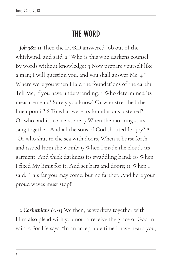## THE WORD

*Job 38:1-11* Then the LORD answered Job out of the whirlwind, and said: 2 "Who is this who darkens counsel By words without knowledge? 3 Now prepare yourself like a man; I will question you, and you shall answer Me. 4 " Where were you when I laid the foundations of the earth? Tell Me, if you have understanding. 5 Who determined its measurements? Surely you know! Or who stretched the line upon it? 6 To what were its foundations fastened? Or who laid its cornerstone, 7 When the morning stars sang together, And all the sons of God shouted for joy? 8 "Or who shut in the sea with doors, When it burst forth and issued from the womb; 9 When I made the clouds its garment, And thick darkness its swaddling band; 10 When I fixed My limit for it, And set bars and doors; 11 When I said, 'This far you may come, but no farther, And here your proud waves must stop!'

2 *Corinthians 6:1-13* We then, as workers together with Him also plead with you not to receive the grace of God in vain. 2 For He says: "In an acceptable time I have heard you,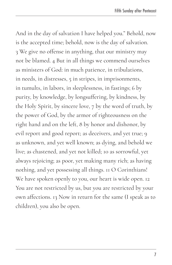And in the day of salvation I have helped you." Behold, now is the accepted time; behold, now is the day of salvation. 3 We give no offense in anything, that our ministry may not be blamed. 4 But in all things we commend ourselves as ministers of God: in much patience, in tribulations, in needs, in distresses, 5 in stripes, in imprisonments, in tumults, in labors, in sleeplessness, in fastings; 6 by purity, by knowledge, by longsuffering, by kindness, by the Holy Spirit, by sincere love, 7 by the word of truth, by the power of God, by the armor of righteousness on the right hand and on the left, 8 by honor and dishonor, by evil report and good report; as deceivers, and yet true; 9 as unknown, and yet well known; as dying, and behold we live; as chastened, and yet not killed; 10 as sorrowful, yet always rejoicing; as poor, yet making many rich; as having nothing, and yet possessing all things. 11 O Corinthians! We have spoken openly to you, our heart is wide open. 12 You are not restricted by us, but you are restricted by your own affections. 13 Now in return for the same (I speak as to children), you also be open.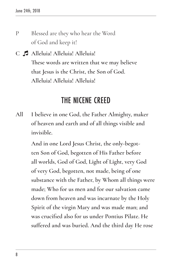- P Blessed are they who hear the Word of God and keep it!
- **C Alleluia! Alleluia! Alleluia! These words are written that we may believe that Jesus is the Christ, the Son of God. Alleluia! Alleluia! Alleluia!**

## THE NICENE CREED

**AAll I believe in one God, the Father Almighty, maker of heaven and earth and of all things visible and invisible.**

> **And in one Lord Jesus Christ, the only-begotten Son of God, begotten of His Father before all worlds, God of God, Light of Light, very God of very God, begotten, not made, being of one substance with the Father, by Whom all things were made; Who for us men and for our salvation came down from heaven and was incarnate by the Holy Spirit of the virgin Mary and was made man; and was crucified also for us under Pontius Pilate. He suffered and was buried. And the third day He rose**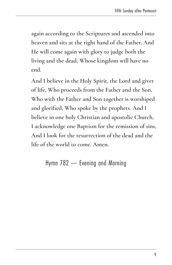**again according to the Scriptures and ascended into heaven and sits at the right hand of the Father. And He will come again with glory to judge both the living and the dead, Whose kingdom will have no end.**

**And I believe in the Holy Spirit, the Lord and giver of life, Who proceeds from the Father and the Son, Who with the Father and Son together is worshiped and glorified, Who spoke by the prophets. And I believe in one holy Christian and apostolic Church, I acknowledge one Baptism for the remission of sins, And I look for the resurrection of the dead and the life of the world to come. Amen.**

### Hymn 782 — Evening and Morning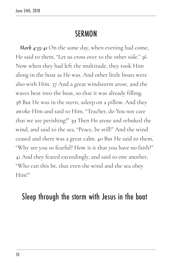## **SERMON**

*Mark 4:35-41* On the same day, when evening had come, He said to them, "Let us cross over to the other side." 36 Now when they had left the multitude, they took Him along in the boat as He was. And other little boats were also with Him. 37 And a great windstorm arose, and the waves beat into the boat, so that it was already filling. 38 But He was in the stern, asleep on a pillow. And they awoke Him and said to Him, "Teacher, do You not care that we are perishing?" 39 Then He arose and rebuked the wind, and said to the sea, "Peace, be still!" And the wind ceased and there was a great calm. 40 But He said to them, "Why are you so fearful? How is it that you have no faith?" 41 And they feared exceedingly, and said to one another, "Who can this be, that even the wind and the sea obey Him!"

## Sleep through the storm with Jesus in the boat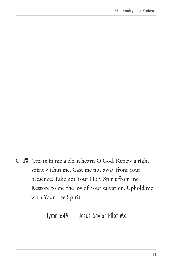**C Create in me a clean heart, O God. Renew a right spirit within me. Cast me not away from Your presence. Take not Your Holy Spirit from me. Restore to me the joy of Your salvation. Uphold me with Your free Spirit.**

Hymn 649 — Jesus Savior Pilot Me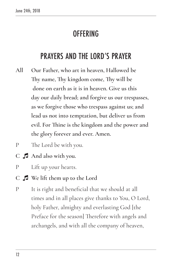## OFFERING

## PRAYERS AND THE LORD'S PRAYER

- **AAll Our Father, who art in heaven, Hallowed be Thy name, Thy kingdom come, Thy will be done on earth as it is in heaven. Give us this day our daily bread; and forgive us our trespasses, as we forgive those who trespass against us; and lead us not into temptation, but deliver us from evil. For Thine is the kingdom and the power and the glory forever and ever. Amen.**
- P The Lord be with you.
- **C And also with you.**
- P Lift up your hearts.
- **C We lift them up to the Lord**
- P It is right and beneficial that we should at all times and in all places give thanks to You, O Lord, holy Father, almighty and everlasting God [the Preface for the season] Therefore with angels and archangels, and with all the company of heaven,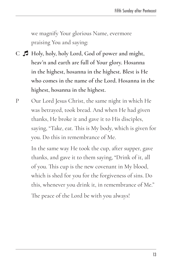we magnify Your glorious Name, evermore praising You and saying:

- **C Holy, holy, holy Lord, God of power and might, heav'n and earth are full of Your glory. Hosanna in the highest, hosanna in the highest. Blest is He who comes in the name of the Lord. Hosanna in the highest, hosanna in the highest.**
- P Our Lord Jesus Christ, the same night in which He was betrayed, took bread. And when He had given thanks, He broke it and gave it to His disciples, saying, "Take, eat. This is My body, which is given for you. Do this in remembrance of Me.

In the same way He took the cup, after supper, gave thanks, and gave it to them saying, "Drink of it, all of you. This cup is the new covenant in My blood, which is shed for you for the forgiveness of sins. Do this, whenever you drink it, in remembrance of Me." The peace of the Lord be with you always!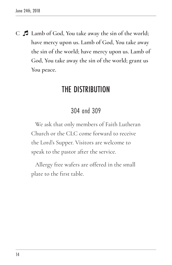**C Lamb of God, You take away the sin of the world; have mercy upon us. Lamb of God, You take away the sin of the world; have mercy upon us. Lamb of God, You take away the sin of the world; grant us You peace.**

## THE DISTRIBUTION

### 304 and 309

We ask that only members of Faith Lutheran Church or the CLC come forward to receive the Lord's Supper. Visitors are welcome to speak to the pastor after the service.

Allergy free wafers are offered in the small plate to the first table.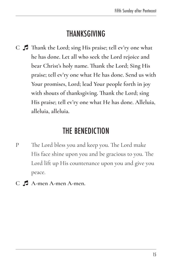# THANKSGIVING

**C Thank the Lord; sing His praise; tell ev'ry one what he has done. Let all who seek the Lord rejoice and bear Christ's holy name. Thank the Lord; Sing His praise; tell ev'ry one what He has done. Send us with Your promises, Lord; lead Your people forth in joy with shouts of thanksgiving. Thank the Lord; sing His praise; tell ev'ry one what He has done. Alleluia, alleluia, alleluia.**

# THE BENEDICTION

- P The Lord bless you and keep you. The Lord make His face shine upon you and be gracious to you. The Lord lift up His countenance upon you and give you peace.
- **C A-men A-men A-men.**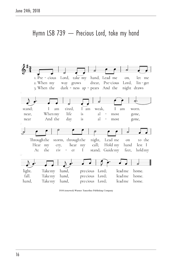### Hymn LSB 739 — Precious Lord, take my hand

Lord, take my hand, Lead me I. Pre - cious let me on, 2. When my way grows drear, Pre-cious Lord, lin - ger 3. When the dark - ness ap - pears And the night draws  $\tilde{\mathcal{S}}$ stand; Ī am tired. I am weak.  $\mathbf{I}$ am worn. When my life <sub>a</sub> near. is most gone, And the near day <sub>al</sub> is most gone,  $\ddot{9}$  $\overline{\phantom{a}}$ Through the storm, through the night, Lead me to the on call; Hold my hand Hear my hear my lest I cry, At the riv  $\bf{I}$ stand; Guidemy feet, holdmy er  $1\overline{3}$ light. Take my hand, precious Lord; leadme home. fall. leadme Take my hand, precious Lord; home. hand, Take my precious Lord; leadme home. hand,

1938 (renewed) Warner-Tamerline Publishing Company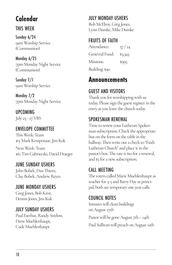# **Calendar**

### THIS WEEK

Sunday 6/24 9am Worship Service (Communion)

Monday 6/25 7pm Monday Night Service (Communion)

Sunday 7/1 9am Worship Service

Monday 7/2 7pm Monday Night Service

UPCOMING July 23 - 27 VBS

### ENVELOPE COMMITTEE

This Week: Team #5: Mark Kempenaar, Jim Kok

Next Week: Team #6: Tim Gabriecski, David Draeger

### JUNE SUNDAY USHERS

John Bobek, Dan Thiem, Clay Bobek, Andrew Reyes

### JUNE MONDAY USHERS

Greg Jones, Bob Kirst, Dennis Jones, Jim Kok

### JULY SUNDAY USHERS

Paul Eserhut, Randy Strelow, Drew Muehlenhaupt, Cade Muehlenhaupt

JULY MONDAY USHERS Bob McElroy, Greg Jones, Lynn Dumke, Mike Dumke

### FRUITS OF FAITH

Attendance: 57/24 Genevral Fund: \$3,343 Missions: \$995 Building: \$90

## **Announcements**

### GUEST AND VISITORS

Thank you for worshipping with us today. Please sign the guest register in the entry as you leave the church today.

### SPOKESMAN RENEWAL

Time to renew your Lutheran Spokesman subscription. Check the appropriate box on the form on the table in the hallway. Then write out a check to "Faith Lutheran Church" and place it in the pastor's box. The rate is \$10 for a renewal, and \$5 for a new subscription.

### CALL MEETING

The voters called Marie Muehlenhaupt as teacher for 3-5 and Barry Hay as principal, both are temporary one year calls.

#### COUNCIL NOTES

Inmates will clean buildings on August 27th

Pastor will be gone August 7th – 14th Paul Sullivan will preach on August 12th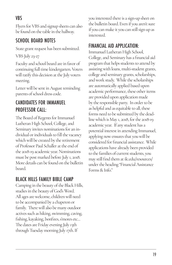VBS

Flyers for VBS and signup sheets can also be found on the table in the hallway.

### SCHOOL BOARD NOTES

State grant request has been submitted.

VBS July 23-27

Faculty and school board are in favor of continuing full time kindergarten. Voters will ratify this decision at the July voters meeting.

Letter will be sent in August reminding parents of school dress code.

### CANDIDATES FOR IMMANUEL PROFESSOR CALL:

The Board of Regents for Immanuel Lutheran High School, College, and Seminary invites nominations for an individual or individuals to fill the vacancy which will be created by the retirement of Professor Paul Schaller at the end of the 2018-19 academic year. Nominations must be post marked before July 1, 2018. More details can be found on the bulletin board.

### BLACK HILLS FAMILY BIBLE CAMP

Camping in the beauty of the Black Hills, studies in the beauty of God's Word. All ages are welcome, children will need to be accompanied by a chaperon or family. There will also be many outdoor actives such as hiking, swimming, caving, fishing, kayaking, bonfires, s'mores etc... The dates are Friday evening July 13th through Tuesday morning July 17th. If

you interested there is a sign-up sheet on the bulletin board. Even if you aren't sure if you can make it you can still sign up as interested.

### FINANCIAL AID APPLICATION:

Immanuel Lutheran High School, College, and Seminary has a financial aid program that helps students to attend by assisting with loans, multi-student grants, college and seminary grants, scholarships, and work study. While the scholarships are automatically applied based upon academic performance, these other items are provided upon application made by the responsible party. In order to be as helpful and as equitable to all, these forms need to be submitted by the deadline which is May 1, 2018, for the 2018-19 academic year. If any student has a potential interest in attending Immanuel, applying now ensures that you will be considered for financial assistance. While applications have already been provided to the families of current students, you may still find them at ilc.edu/resources/ under the heading "Financial Assistance Forms & Info."